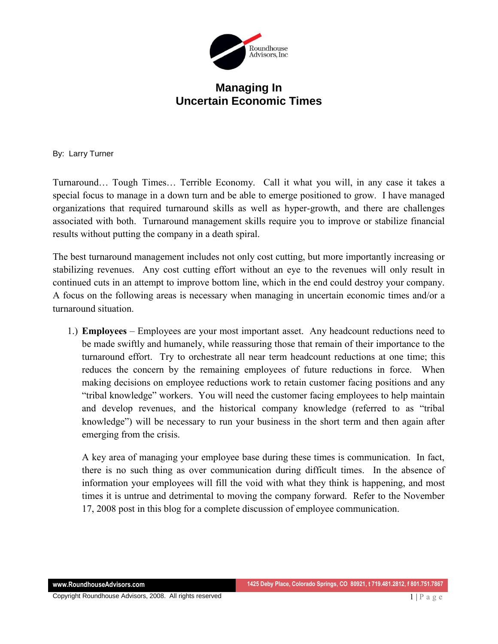

## **Managing In Uncertain Economic Times**

By: Larry Turner

Turnaround… Tough Times… Terrible Economy. Call it what you will, in any case it takes a special focus to manage in a down turn and be able to emerge positioned to grow. I have managed organizations that required turnaround skills as well as hyper-growth, and there are challenges associated with both. Turnaround management skills require you to improve or stabilize financial results without putting the company in a death spiral.

The best turnaround management includes not only cost cutting, but more importantly increasing or stabilizing revenues. Any cost cutting effort without an eye to the revenues will only result in continued cuts in an attempt to improve bottom line, which in the end could destroy your company. A focus on the following areas is necessary when managing in uncertain economic times and/or a turnaround situation.

1.) **Employees** – Employees are your most important asset. Any headcount reductions need to be made swiftly and humanely, while reassuring those that remain of their importance to the turnaround effort. Try to orchestrate all near term headcount reductions at one time; this reduces the concern by the remaining employees of future reductions in force. When making decisions on employee reductions work to retain customer facing positions and any "tribal knowledge" workers. You will need the customer facing employees to help maintain and develop revenues, and the historical company knowledge (referred to as "tribal knowledge") will be necessary to run your business in the short term and then again after emerging from the crisis.

A key area of managing your employee base during these times is communication. In fact, there is no such thing as over communication during difficult times. In the absence of information your employees will fill the void with what they think is happening, and most times it is untrue and detrimental to moving the company forward. Refer to the November 17, 2008 post in this blog for a complete discussion of employee communication.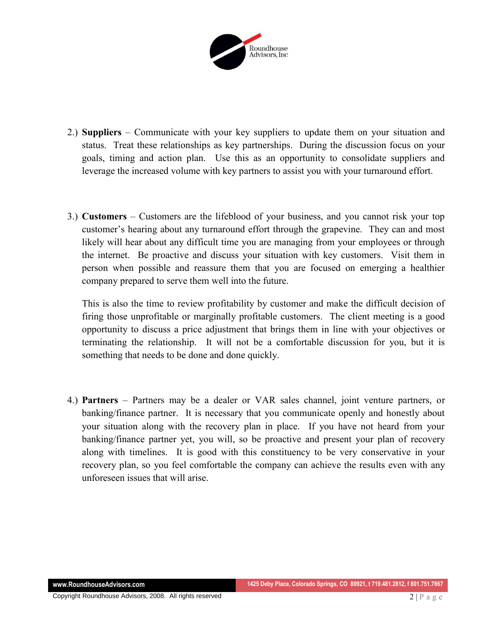

- 2.) **Suppliers** Communicate with your key suppliers to update them on your situation and status. Treat these relationships as key partnerships. During the discussion focus on your goals, timing and action plan. Use this as an opportunity to consolidate suppliers and leverage the increased volume with key partners to assist you with your turnaround effort.
- 3.) **Customers**  Customers are the lifeblood of your business, and you cannot risk your top customer's hearing about any turnaround effort through the grapevine. They can and most likely will hear about any difficult time you are managing from your employees or through the internet. Be proactive and discuss your situation with key customers. Visit them in person when possible and reassure them that you are focused on emerging a healthier company prepared to serve them well into the future.

This is also the time to review profitability by customer and make the difficult decision of firing those unprofitable or marginally profitable customers. The client meeting is a good opportunity to discuss a price adjustment that brings them in line with your objectives or terminating the relationship. It will not be a comfortable discussion for you, but it is something that needs to be done and done quickly.

4.) **Partners** – Partners may be a dealer or VAR sales channel, joint venture partners, or banking/finance partner. It is necessary that you communicate openly and honestly about your situation along with the recovery plan in place. If you have not heard from your banking/finance partner yet, you will, so be proactive and present your plan of recovery along with timelines. It is good with this constituency to be very conservative in your recovery plan, so you feel comfortable the company can achieve the results even with any unforeseen issues that will arise.